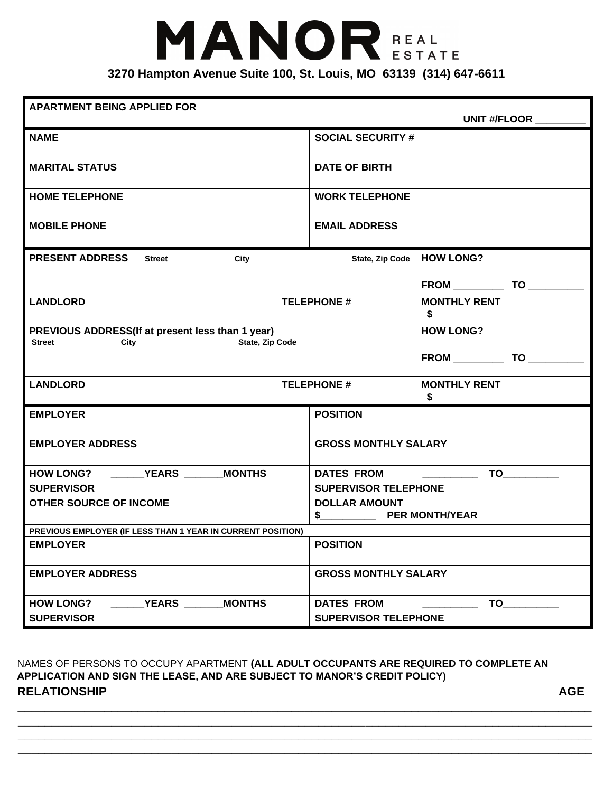## MANOR REAL **3270 Hampton Avenue Suite 100, St. Louis, MO 63139 (314) 647-6611**

## **APARTMENT BEING APPLIED FOR**

| AFANTWENT BEING AFFLIED FON                                                                         |                    |                                                                | UNIT #/FLOOR                   |  |  |
|-----------------------------------------------------------------------------------------------------|--------------------|----------------------------------------------------------------|--------------------------------|--|--|
| <b>NAME</b>                                                                                         |                    | <b>SOCIAL SECURITY #</b>                                       |                                |  |  |
| <b>MARITAL STATUS</b>                                                                               |                    | <b>DATE OF BIRTH</b>                                           |                                |  |  |
| <b>HOME TELEPHONE</b>                                                                               |                    | <b>WORK TELEPHONE</b>                                          |                                |  |  |
| <b>MOBILE PHONE</b>                                                                                 |                    | <b>EMAIL ADDRESS</b>                                           |                                |  |  |
| <b>PRESENT ADDRESS</b><br><b>Street</b><br>City                                                     |                    |                                                                | State, Zip Code   HOW LONG?    |  |  |
|                                                                                                     |                    |                                                                |                                |  |  |
| <b>LANDLORD</b>                                                                                     | <b>TELEPHONE #</b> |                                                                | <b>MONTHLY RENT</b><br>\$      |  |  |
| PREVIOUS ADDRESS(If at present less than 1 year)<br><b>State, Zip Code</b><br><b>Street</b><br>City |                    | <b>HOW LONG?</b>                                               |                                |  |  |
|                                                                                                     |                    |                                                                |                                |  |  |
| <b>LANDLORD</b>                                                                                     | <b>TELEPHONE #</b> |                                                                | <b>MONTHLY RENT</b><br>\$      |  |  |
| <b>EMPLOYER</b>                                                                                     |                    | <b>POSITION</b>                                                |                                |  |  |
| <b>EMPLOYER ADDRESS</b>                                                                             |                    | <b>GROSS MONTHLY SALARY</b>                                    |                                |  |  |
| HOW LONG? YEARS<br><b>MONTHS</b>                                                                    |                    |                                                                | <b>DATES FROM</b><br><b>TO</b> |  |  |
| <b>SUPERVISOR</b>                                                                                   |                    | <b>SUPERVISOR TELEPHONE</b>                                    |                                |  |  |
| <b>OTHER SOURCE OF INCOME</b>                                                                       |                    | <b>DOLLAR AMOUNT</b><br><b>PER MONTH/YEAR</b><br>$\frac{1}{2}$ |                                |  |  |
| PREVIOUS EMPLOYER (IF LESS THAN 1 YEAR IN CURRENT POSITION)                                         |                    |                                                                |                                |  |  |
| <b>EMPLOYER</b>                                                                                     |                    | <b>POSITION</b>                                                |                                |  |  |
| <b>EMPLOYER ADDRESS</b>                                                                             |                    | <b>GROSS MONTHLY SALARY</b>                                    |                                |  |  |
| <b>YEARS</b><br><b>MONTHS</b><br><b>HOW LONG?</b>                                                   |                    |                                                                | TO<br><b>DATES FROM</b>        |  |  |
| <b>SUPERVISOR</b>                                                                                   |                    | <b>SUPERVISOR TELEPHONE</b>                                    |                                |  |  |

NAMES OF PERSONS TO OCCUPY APARTMENT **(ALL ADULT OCCUPANTS ARE REQUIRED TO COMPLETE AN APPLICATION AND SIGN THE LEASE, AND ARE SUBJECT TO MANOR'S CREDIT POLICY) RELATIONSHIP** AGE

**\_\_\_\_\_\_\_\_\_\_\_\_\_\_\_\_\_\_\_\_\_\_\_\_\_\_\_\_\_\_\_\_\_\_\_\_\_\_\_\_\_\_\_\_\_\_\_\_\_\_\_\_\_\_\_\_\_\_\_\_\_\_\_\_\_\_\_\_\_\_\_\_\_\_\_\_\_\_\_\_\_\_\_\_\_\_ \_\_\_\_\_\_\_\_\_\_\_\_\_\_\_\_\_\_\_\_\_\_\_\_\_\_\_\_\_\_\_\_\_\_\_\_\_\_\_\_\_\_\_\_\_\_\_\_\_\_\_\_\_\_\_\_\_\_\_\_\_\_\_\_\_\_\_\_\_\_\_\_\_\_\_\_\_\_\_\_\_\_\_\_\_\_ \_\_\_\_\_\_\_\_\_\_\_\_\_\_\_\_\_\_\_\_\_\_\_\_\_\_\_\_\_\_\_\_\_\_\_\_\_\_\_\_\_\_\_\_\_\_\_\_\_\_\_\_\_\_\_\_\_\_\_\_\_\_\_\_\_\_\_\_\_\_\_\_\_\_\_\_\_\_\_\_\_\_\_\_\_\_ \_\_\_\_\_\_\_\_\_\_\_\_\_\_\_\_\_\_\_\_\_\_\_\_\_\_\_\_\_\_\_\_\_\_\_\_\_\_\_\_\_\_\_\_\_\_\_\_\_\_\_\_\_\_\_\_\_\_\_\_\_\_\_\_\_\_\_\_\_\_\_\_\_\_\_\_\_\_\_\_\_\_\_\_\_\_**